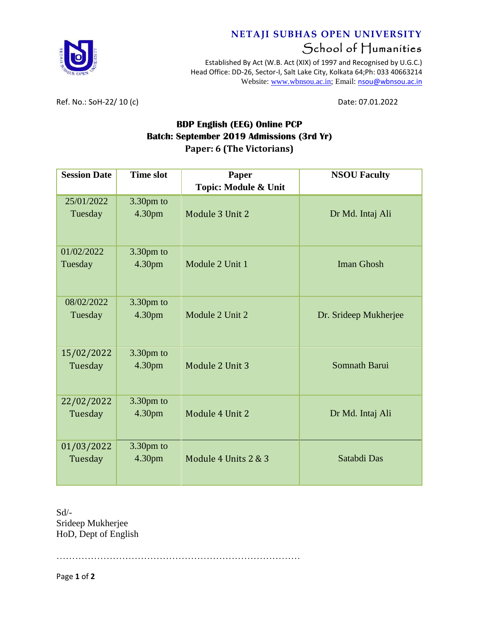

## **NETAJI SUBHAS OPEN UNIVERSITY** School of Humanities

Established By Act (W.B. Act (XIX) of 1997 and Recognised by U.G.C.) Head Office: DD-26, Sector-I, Salt Lake City, Kolkata 64;Ph: 033 40663214 Website: [www.wbnsou.ac.in;](http://www.wbnsou.ac.in/) Email: [nsou@wbnsou.ac.in](mailto:nsou@wbnsou.ac.in)

Ref. No.: SoH-22/ 10 (c) Date: 07.01.2022

## **BDP English (EEG) Online PCP Batch: September 2019 Admissions (3rd Yr) Paper: 6 (The Victorians)**

| <b>Session Date</b> | <b>Time slot</b> | Paper                | <b>NSOU Faculty</b>   |
|---------------------|------------------|----------------------|-----------------------|
|                     |                  | Topic: Module & Unit |                       |
| 25/01/2022          | 3.30pm to        |                      |                       |
| Tuesday             | 4.30pm           | Module 3 Unit 2      | Dr Md. Intaj Ali      |
|                     |                  |                      |                       |
| 01/02/2022          | 3.30pm to        |                      |                       |
| Tuesday             | 4.30pm           | Module 2 Unit 1      | <b>Iman Ghosh</b>     |
| 08/02/2022          | 3.30pm to        |                      |                       |
| Tuesday             | 4.30pm           | Module 2 Unit 2      | Dr. Srideep Mukherjee |
|                     |                  |                      |                       |
| 15/02/2022          | 3.30pm to        |                      |                       |
| Tuesday             | 4.30pm           | Module 2 Unit 3      | Somnath Barui         |
| 22/02/2022          | 3.30pm to        |                      |                       |
| Tuesday             | 4.30pm           | Module 4 Unit 2      | Dr Md. Intaj Ali      |
|                     |                  |                      |                       |
| 01/03/2022          | 3.30pm to        |                      |                       |
| Tuesday             | 4.30pm           | Module 4 Units 2 & 3 | Satabdi Das           |
|                     |                  |                      |                       |

Sd/- Srideep Mukherjee HoD, Dept of English

……………………………………………………………………